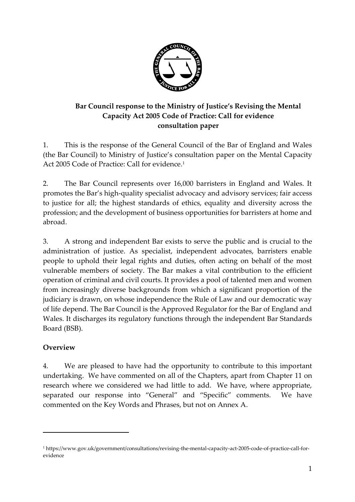

## **Bar Council response to the Ministry of Justice's Revising the Mental Capacity Act 2005 Code of Practice: Call for evidence consultation paper**

1. This is the response of the General Council of the Bar of England and Wales (the Bar Council) to Ministry of Justice's consultation paper on the Mental Capacity Act 2005 Code of Practice: Call for evidence. 1

2. The Bar Council represents over 16,000 barristers in England and Wales. It promotes the Bar's high-quality specialist advocacy and advisory services; fair access to justice for all; the highest standards of ethics, equality and diversity across the profession; and the development of business opportunities for barristers at home and abroad.

3. A strong and independent Bar exists to serve the public and is crucial to the administration of justice. As specialist, independent advocates, barristers enable people to uphold their legal rights and duties, often acting on behalf of the most vulnerable members of society. The Bar makes a vital contribution to the efficient operation of criminal and civil courts. It provides a pool of talented men and women from increasingly diverse backgrounds from which a significant proportion of the judiciary is drawn, on whose independence the Rule of Law and our democratic way of life depend. The Bar Council is the Approved Regulator for the Bar of England and Wales. It discharges its regulatory functions through the independent Bar Standards Board (BSB).

## **Overview**

 $\overline{a}$ 

4. We are pleased to have had the opportunity to contribute to this important undertaking. We have commented on all of the Chapters, apart from Chapter 11 on research where we considered we had little to add. We have, where appropriate, separated our response into "General" and "Specific" comments. We have commented on the Key Words and Phrases, but not on Annex A.

<sup>1</sup> [https://www.gov.uk/government/consultations/revising-the-mental-capacity-act-2005-code-of-practice-call-for](https://www.gov.uk/government/consultations/revising-the-mental-capacity-act-2005-code-of-practice-call-for-evidence)[evidence](https://www.gov.uk/government/consultations/revising-the-mental-capacity-act-2005-code-of-practice-call-for-evidence)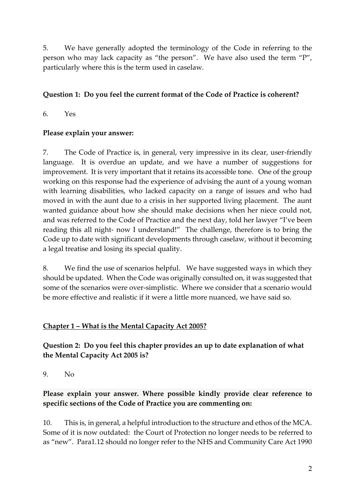5. We have generally adopted the terminology of the Code in referring to the person who may lack capacity as "the person". We have also used the term "P", particularly where this is the term used in caselaw.

## **Question 1: Do you feel the current format of the Code of Practice is coherent?**

6. Yes

#### **Please explain your answer:**

7. The Code of Practice is, in general, very impressive in its clear, user-friendly language. It is overdue an update, and we have a number of suggestions for improvement. It is very important that it retains its accessible tone. One of the group working on this response had the experience of advising the aunt of a young woman with learning disabilities, who lacked capacity on a range of issues and who had moved in with the aunt due to a crisis in her supported living placement. The aunt wanted guidance about how she should make decisions when her niece could not, and was referred to the Code of Practice and the next day, told her lawyer "I've been reading this all night- now I understand!" The challenge, therefore is to bring the Code up to date with significant developments through caselaw, without it becoming a legal treatise and losing its special quality.

8. We find the use of scenarios helpful. We have suggested ways in which they should be updated. When the Code was originally consulted on, it was suggested that some of the scenarios were over-simplistic. Where we consider that a scenario would be more effective and realistic if it were a little more nuanced, we have said so.

## **Chapter 1 – What is the Mental Capacity Act 2005?**

**Question 2: Do you feel this chapter provides an up to date explanation of what the Mental Capacity Act 2005 is?**

9. No

# **Please explain your answer. Where possible kindly provide clear reference to specific sections of the Code of Practice you are commenting on:**

10. This is, in general, a helpful introduction to the structure and ethos of the MCA. Some of it is now outdated: the Court of Protection no longer needs to be referred to as "new". Para1.12 should no longer refer to the NHS and Community Care Act 1990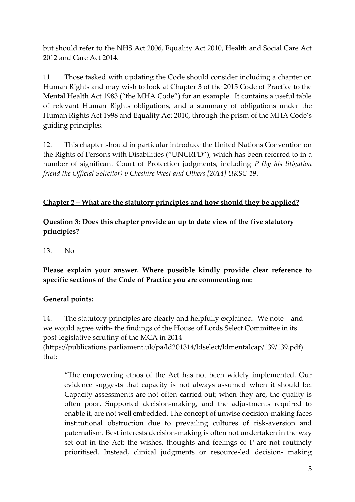but should refer to the NHS Act 2006, Equality Act 2010, Health and Social Care Act 2012 and Care Act 2014.

11. Those tasked with updating the Code should consider including a chapter on Human Rights and may wish to look at Chapter 3 of the 2015 Code of Practice to the Mental Health Act 1983 ("the MHA Code") for an example. It contains a useful table of relevant Human Rights obligations, and a summary of obligations under the Human Rights Act 1998 and Equality Act 2010, through the prism of the MHA Code's guiding principles.

12. This chapter should in particular introduce the United Nations Convention on the Rights of Persons with Disabilities ("UNCRPD"), which has been referred to in a number of significant Court of Protection judgments, including *P (by his litigation friend the Official Solicitor) v Cheshire West and Others [2014] UKSC 19*.

## **Chapter 2 – What are the statutory principles and how should they be applied?**

**Question 3: Does this chapter provide an up to date view of the five statutory principles?**

13. No

**Please explain your answer. Where possible kindly provide clear reference to specific sections of the Code of Practice you are commenting on:**

## **General points:**

14. The statutory principles are clearly and helpfully explained. We note – and we would agree with- the findings of the House of Lords Select Committee in its post-legislative scrutiny of the MCA in 2014 [\(https://publications.parliament.uk/pa/ld201314/ldselect/ldmentalcap/139/139.pdf\)](https://publications.parliament.uk/pa/ld201314/ldselect/ldmentalcap/139/139.pdf) that;

"The empowering ethos of the Act has not been widely implemented. Our evidence suggests that capacity is not always assumed when it should be. Capacity assessments are not often carried out; when they are, the quality is often poor. Supported decision-making, and the adjustments required to enable it, are not well embedded. The concept of unwise decision-making faces institutional obstruction due to prevailing cultures of risk-aversion and paternalism. Best interests decision-making is often not undertaken in the way set out in the Act: the wishes, thoughts and feelings of P are not routinely prioritised. Instead, clinical judgments or resource-led decision- making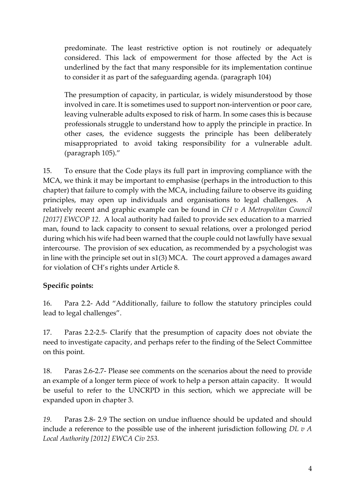predominate. The least restrictive option is not routinely or adequately considered. This lack of empowerment for those affected by the Act is underlined by the fact that many responsible for its implementation continue to consider it as part of the safeguarding agenda. (paragraph 104)

The presumption of capacity, in particular, is widely misunderstood by those involved in care. It is sometimes used to support non-intervention or poor care, leaving vulnerable adults exposed to risk of harm. In some cases this is because professionals struggle to understand how to apply the principle in practice. In other cases, the evidence suggests the principle has been deliberately misappropriated to avoid taking responsibility for a vulnerable adult. (paragraph 105)."

15. To ensure that the Code plays its full part in improving compliance with the MCA, we think it may be important to emphasise (perhaps in the introduction to this chapter) that failure to comply with the MCA, including failure to observe its guiding principles, may open up individuals and organisations to legal challenges. A relatively recent and graphic example can be found in *CH v A Metropolitan Council [2017] EWCOP 12.* A local authority had failed to provide sex education to a married man, found to lack capacity to consent to sexual relations, over a prolonged period during which his wife had been warned that the couple could not lawfully have sexual intercourse. The provision of sex education, as recommended by a psychologist was in line with the principle set out in s1(3) MCA. The court approved a damages award for violation of CH's rights under Article 8.

## **Specific points:**

16. Para 2.2- Add "Additionally, failure to follow the statutory principles could lead to legal challenges".

17. Paras 2.2-2.5- Clarify that the presumption of capacity does not obviate the need to investigate capacity, and perhaps refer to the finding of the Select Committee on this point.

18. Paras 2.6-2.7- Please see comments on the scenarios about the need to provide an example of a longer term piece of work to help a person attain capacity. It would be useful to refer to the UNCRPD in this section, which we appreciate will be expanded upon in chapter 3.

*19.* Paras 2.8- 2.9 The section on undue influence should be updated and should include a reference to the possible use of the inherent jurisdiction following *DL v A Local Authority [2012] EWCA Civ 253.*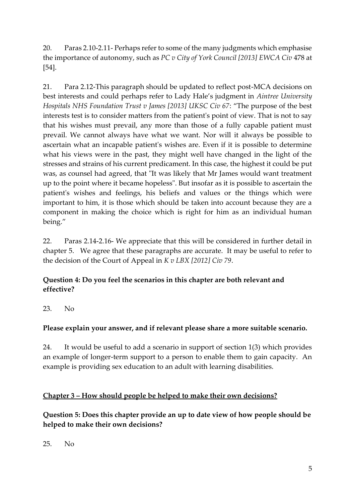20. Paras 2.10-2.11- Perhaps refer to some of the many judgments which emphasise the importance of autonomy, such as *PC v City of York Council [2013] EWCA Civ* 478 at [54].

21. Para 2.12-This paragraph should be updated to reflect post-MCA decisions on best interests and could perhaps refer to Lady Hale's judgment in *Aintree University Hospitals NHS Foundation Trust v James [2013] UKSC Civ 67*: "The purpose of the best interests test is to consider matters from the patient's point of view. That is not to say that his wishes must prevail, any more than those of a fully capable patient must prevail. We cannot always have what we want. Nor will it always be possible to ascertain what an incapable patient's wishes are. Even if it is possible to determine what his views were in the past, they might well have changed in the light of the stresses and strains of his current predicament. In this case, the highest it could be put was, as counsel had agreed, that "It was likely that Mr James would want treatment up to the point where it became hopeless". But insofar as it is possible to ascertain the patient's wishes and feelings, his beliefs and values or the things which were important to him, it is those which should be taken into account because they are a component in making the choice which is right for him as an individual human being."

22. Paras 2.14-2.16- We appreciate that this will be considered in further detail in chapter 5. We agree that these paragraphs are accurate. It may be useful to refer to the decision of the Court of Appeal in *K v LBX [2012] Civ 79*.

# **Question 4: Do you feel the scenarios in this chapter are both relevant and effective?**

23. No

# **Please explain your answer, and if relevant please share a more suitable scenario.**

24. It would be useful to add a scenario in support of section 1(3) which provides an example of longer-term support to a person to enable them to gain capacity. An example is providing sex education to an adult with learning disabilities.

# **Chapter 3 – How should people be helped to make their own decisions?**

**Question 5: Does this chapter provide an up to date view of how people should be helped to make their own decisions?**

25. No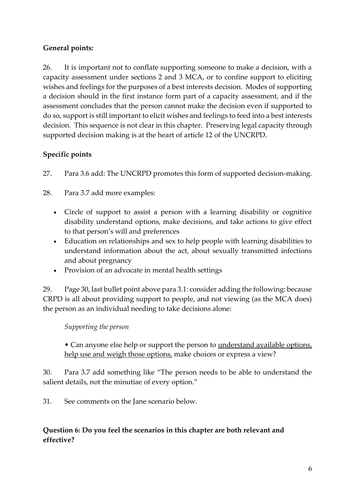## **General points:**

26. It is important not to conflate supporting someone to make a decision, with a capacity assessment under sections 2 and 3 MCA, or to confine support to eliciting wishes and feelings for the purposes of a best interests decision. Modes of supporting a decision should in the first instance form part of a capacity assessment, and if the assessment concludes that the person cannot make the decision even if supported to do so, support is still important to elicit wishes and feelings to feed into a best interests decision. This sequence is not clear in this chapter. Preserving legal capacity through supported decision making is at the heart of article 12 of the UNCRPD.

# **Specific points**

27. Para 3.6 add: The UNCRPD promotes this form of supported decision-making.

28. Para 3.7 add more examples:

- Circle of support to assist a person with a learning disability or cognitive disability understand options, make decisions, and take actions to give effect to that person's will and preferences
- Education on relationships and sex to help people with learning disabilities to understand information about the act, about sexually transmitted infections and about pregnancy
- Provision of an advocate in mental health settings

29. Page 30, last bullet point above para 3.1: consider adding the following: because CRPD is all about providing support to people, and not viewing (as the MCA does) the person as an individual needing to take decisions alone:

*Supporting the person*

• Can anyone else help or support the person to <u>understand available options</u>, help use and weigh those options, make choices or express a view?

30. Para 3.7 add something like "The person needs to be able to understand the salient details, not the minutiae of every option."

31. See comments on the Jane scenario below.

# **Question 6: Do you feel the scenarios in this chapter are both relevant and effective?**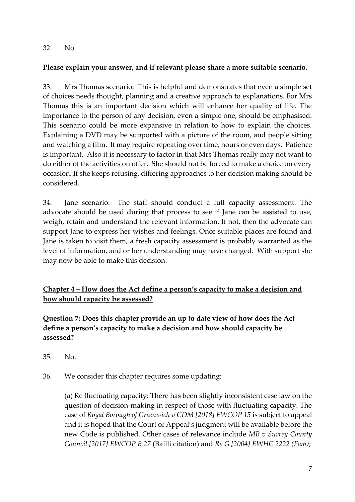#### 32. No

## **Please explain your answer, and if relevant please share a more suitable scenario.**

33. Mrs Thomas scenario: This is helpful and demonstrates that even a simple set of choices needs thought, planning and a creative approach to explanations. For Mrs Thomas this is an important decision which will enhance her quality of life. The importance to the person of any decision, even a simple one, should be emphasised. This scenario could be more expansive in relation to how to explain the choices. Explaining a DVD may be supported with a picture of the room, and people sitting and watching a film. It may require repeating over time, hours or even days. Patience is important. Also it is necessary to factor in that Mrs Thomas really may not want to do either of the activities on offer. She should not be forced to make a choice on every occasion. If she keeps refusing, differing approaches to her decision making should be considered.

34. Jane scenario: The staff should conduct a full capacity assessment. The advocate should be used during that process to see if Jane can be assisted to use, weigh, retain and understand the relevant information. If not, then the advocate can support Jane to express her wishes and feelings. Once suitable places are found and Jane is taken to visit them, a fresh capacity assessment is probably warranted as the level of information, and or her understanding may have changed. With support she may now be able to make this decision.

**Chapter 4 – How does the Act define a person's capacity to make a decision and how should capacity be assessed?**

**Question 7: Does this chapter provide an up to date view of how does the Act define a person's capacity to make a decision and how should capacity be assessed?**

- 35. No.
- 36. We consider this chapter requires some updating:

(a) Re fluctuating capacity: There has been slightly inconsistent case law on the question of decision-making in respect of those with fluctuating capacity. The case of *Royal Borough of Greenwich v CDM [2018] EWCOP 15* is subject to appeal and it is hoped that the Court of Appeal's judgment will be available before the new Code is published. Other cases of relevance include *MB v Surrey County Council [2017] EWCOP B 27* (Bailli citation) and *Re G [2004] EWHC 2222 (Fam)*;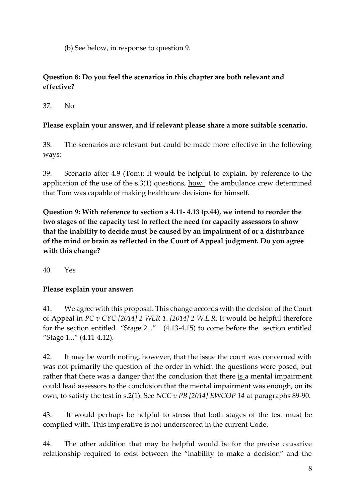(b) See below, in response to question 9.

## **Question 8: Do you feel the scenarios in this chapter are both relevant and effective?**

37. No

# **Please explain your answer, and if relevant please share a more suitable scenario.**

38. The scenarios are relevant but could be made more effective in the following ways:

39. Scenario after 4.9 (Tom): It would be helpful to explain, by reference to the application of the use of the  $s.3(1)$  questions, how the ambulance crew determined that Tom was capable of making healthcare decisions for himself.

**Question 9: With reference to section s 4.11- 4.13 (p.44), we intend to reorder the two stages of the capacity test to reflect the need for capacity assessors to show that the inability to decide must be caused by an impairment of or a disturbance of the mind or brain as reflected in the Court of Appeal judgment. Do you agree with this change?**

40. Yes

# **Please explain your answer:**

41. We agree with this proposal. This change accords with the decision of the Court of Appeal in *PC v CYC [2014] 2 WLR 1*. *[2014] 2 W.L.R.* It would be helpful therefore for the section entitled "Stage 2..." (4.13-4.15) to come before the section entitled "Stage 1..." (4.11-4.12).

42. It may be worth noting, however, that the issue the court was concerned with was not primarily the question of the order in which the questions were posed, but rather that there was a danger that the conclusion that there  $is$  a mental impairment could lead assessors to the conclusion that the mental impairment was enough, on its own, to satisfy the test in s.2(1): See *NCC v PB [2014] EWCOP 14* at paragraphs 89-90.

43. It would perhaps be helpful to stress that both stages of the test must be complied with. This imperative is not underscored in the current Code.

44. The other addition that may be helpful would be for the precise causative relationship required to exist between the "inability to make a decision" and the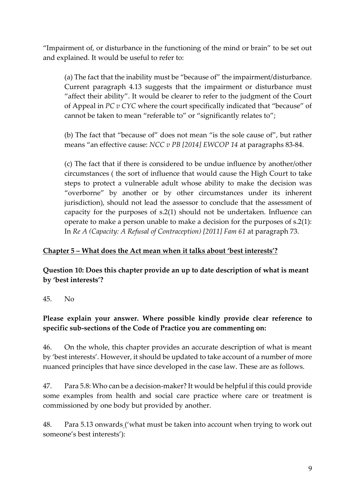"Impairment of, or disturbance in the functioning of the mind or brain" to be set out and explained. It would be useful to refer to:

(a) The fact that the inability must be "because of" the impairment/disturbance. Current paragraph 4.13 suggests that the impairment or disturbance must "affect their ability". It would be clearer to refer to the judgment of the Court of Appeal in *PC v CYC* where the court specifically indicated that "because" of cannot be taken to mean "referable to" or "significantly relates to";

(b) The fact that "because of" does not mean "is the sole cause of", but rather means "an effective cause: *NCC v PB [2014] EWCOP 14* at paragraphs 83-84.

(c) The fact that if there is considered to be undue influence by another/other circumstances ( the sort of influence that would cause the High Court to take steps to protect a vulnerable adult whose ability to make the decision was "overborne" by another or by other circumstances under its inherent jurisdiction), should not lead the assessor to conclude that the assessment of capacity for the purposes of s.2(1) should not be undertaken. Influence can operate to make a person unable to make a decision for the purposes of s.2(1): In *Re A (Capacity: A Refusal of Contraception) [2011] Fam 61* at paragraph 73.

#### **Chapter 5 – What does the Act mean when it talks about 'best interests'?**

**Question 10: Does this chapter provide an up to date description of what is meant by 'best interests'?**

45. No

## **Please explain your answer. Where possible kindly provide clear reference to specific sub-sections of the Code of Practice you are commenting on:**

46. On the whole, this chapter provides an accurate description of what is meant by 'best interests'. However, it should be updated to take account of a number of more nuanced principles that have since developed in the case law. These are as follows.

47. Para 5.8: Who can be a decision-maker? It would be helpful if this could provide some examples from health and social care practice where care or treatment is commissioned by one body but provided by another.

48. Para 5.13 onwards ('what must be taken into account when trying to work out someone's best interests'):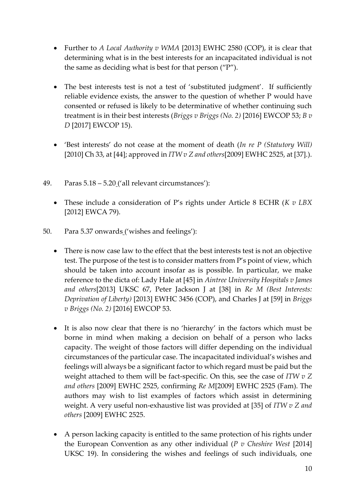- Further to *A Local Authority v WMA* [2013] EWHC 2580 (COP), it is clear that determining what is in the best interests for an incapacitated individual is not the same as deciding what is best for that person ("P").
- The best interests test is not a test of 'substituted judgment'. If sufficiently reliable evidence exists, the answer to the question of whether P would have consented or refused is likely to be determinative of whether continuing such treatment is in their best interests (*Briggs v Briggs (No. 2)* [2016] EWCOP 53; *B v D* [2017] EWCOP 15).
- 'Best interests' do not cease at the moment of death (*In re P (Statutory Will)*  [2010] Ch 33, at [44]; approved in *ITW v Z and others*[2009] EWHC 2525, at [37].).
- 49. Paras 5.18 5.20 ('all relevant circumstances'):
	- These include a consideration of P's rights under Article 8 ECHR (*K v LBX*  [2012] EWCA 79).
- 50. Para 5.37 onwards ('wishes and feelings'):
	- There is now case law to the effect that the best interests test is not an objective test. The purpose of the test is to consider matters from P's point of view, which should be taken into account insofar as is possible. In particular, we make reference to the dicta of: Lady Hale at [45] in *Aintree University Hospitals v James and others*[2013] UKSC 67, Peter Jackson J at [38] in *Re M (Best Interests: Deprivation of Liberty)* [2013] EWHC 3456 (COP), and Charles J at [59] in *Briggs v Briggs (No. 2)* [2016] EWCOP 53.
	- It is also now clear that there is no 'hierarchy' in the factors which must be borne in mind when making a decision on behalf of a person who lacks capacity. The weight of those factors will differ depending on the individual circumstances of the particular case. The incapacitated individual's wishes and feelings will always be a significant factor to which regard must be paid but the weight attached to them will be fact-specific. On this, see the case of *ITW v Z and others* [2009] EWHC 2525, confirming *Re M*[2009] EWHC 2525 (Fam). The authors may wish to list examples of factors which assist in determining weight. A very useful non-exhaustive list was provided at [35] of *ITW v Z and others* [2009] EWHC 2525.
	- A person lacking capacity is entitled to the same protection of his rights under the European Convention as any other individual (*P v Cheshire West* [2014] UKSC 19). In considering the wishes and feelings of such individuals, one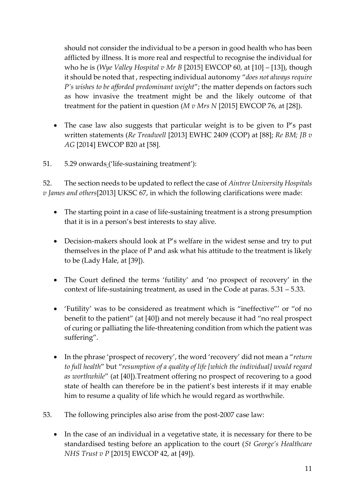should not consider the individual to be a person in good health who has been afflicted by illness. It is more real and respectful to recognise the individual for who he is (*Wye Valley Hospital v Mr B* [2015] EWCOP 60, at [10] – [13]), though it should be noted that , respecting individual autonomy "*does not always require P's wishes to be afforded predominant weight*"; the matter depends on factors such as how invasive the treatment might be and the likely outcome of that treatment for the patient in question (*M v Mrs N* [2015] EWCOP 76, at [28]).

- The case law also suggests that particular weight is to be given to P's past written statements (*Re Treadwell* [2013] EWHC 2409 (COP) at [88]; *Re BM; JB v AG* [2014] EWCOP B20 at [58].
- 51. 5.29 onwards ('life-sustaining treatment'):

52. The section needs to be updated to reflect the case of *Aintree University Hospitals v James and others*[2013] UKSC 67, in which the following clarifications were made:

- The starting point in a case of life-sustaining treatment is a strong presumption that it is in a person's best interests to stay alive.
- Decision-makers should look at P's welfare in the widest sense and try to put themselves in the place of P and ask what his attitude to the treatment is likely to be (Lady Hale, at [39]).
- The Court defined the terms 'futility' and 'no prospect of recovery' in the context of life-sustaining treatment, as used in the Code at paras. 5.31 – 5.33.
- 'Futility' was to be considered as treatment which is "ineffective"' or "of no benefit to the patient" (at [40]) and not merely because it had "no real prospect of curing or palliating the life-threatening condition from which the patient was suffering".
- In the phrase 'prospect of recovery', the word 'recovery' did not mean a "*return to full health*" but "*resumption of a quality of life [which the individual] would regard as worthwhile*" (at [40]).Treatment offering no prospect of recovering to a good state of health can therefore be in the patient's best interests if it may enable him to resume a quality of life which he would regard as worthwhile.
- 53. The following principles also arise from the post-2007 case law:
	- In the case of an individual in a vegetative state, it is necessary for there to be standardised testing before an application to the court (*St George's Healthcare NHS Trust v P* [2015] EWCOP 42, at [49]).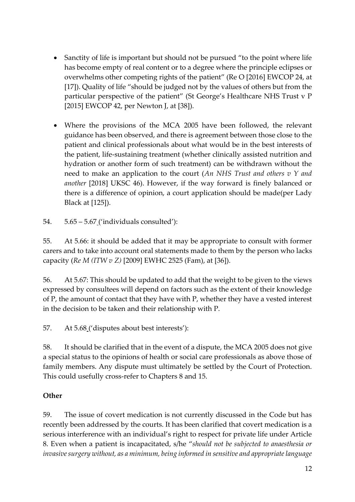- Sanctity of life is important but should not be pursued "to the point where life has become empty of real content or to a degree where the principle eclipses or overwhelms other competing rights of the patient" (Re O [2016] EWCOP 24, at [17]). Quality of life "should be judged not by the values of others but from the particular perspective of the patient" (St George's Healthcare NHS Trust v P [2015] EWCOP 42, per Newton J, at [38]).
- Where the provisions of the MCA 2005 have been followed, the relevant guidance has been observed, and there is agreement between those close to the patient and clinical professionals about what would be in the best interests of the patient, life-sustaining treatment (whether clinically assisted nutrition and hydration or another form of such treatment) can be withdrawn without the need to make an application to the court (*An NHS Trust and others v Y and another* [2018] UKSC 46). However, if the way forward is finely balanced or there is a difference of opinion, a court application should be made(per Lady Black at [125]).

54. 5.65 – 5.67 ('individuals consulted'):

55. At 5.66: it should be added that it may be appropriate to consult with former carers and to take into account oral statements made to them by the person who lacks capacity (*Re M (ITW v Z)* [\[2009\] EWHC 2525 \(Fam\),](https://www.lexisnexis.com/uk/legal/search/enhRunRemoteLink.do?linkInfo=F%23GB%23EWHCFAM%23sel1%252009%25year%252009%25page%252525%25&A=0.6046930986662268&backKey=20_T28464464445&service=citation&ersKey=23_T28464464441&langcountry=GB) at [36]).

56. At 5.67: This should be updated to add that the weight to be given to the views expressed by consultees will depend on factors such as the extent of their knowledge of P, the amount of contact that they have with P, whether they have a vested interest in the decision to be taken and their relationship with P.

57. At 5.68 ('disputes about best interests'):

58. It should be clarified that in the event of a dispute, the MCA 2005 does not give a special status to the opinions of health or social care professionals as above those of family members. Any dispute must ultimately be settled by the Court of Protection. This could usefully cross-refer to Chapters 8 and 15.

## **Other**

59. The issue of covert medication is not currently discussed in the Code but has recently been addressed by the courts. It has been clarified that covert medication is a serious interference with an individual's right to respect for private life under Article 8. Even when a patient is incapacitated, s/he "*should not be subjected to anaesthesia or invasive surgery without, as a minimum, being informed in sensitive and appropriate language*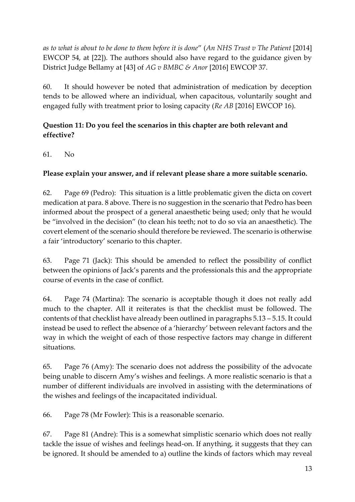*as to what is about to be done to them before it is done*" (*An NHS Trust v The Patient* [2014] EWCOP 54, at [22]). The authors should also have regard to the guidance given by District Judge Bellamy at [43] of *AG v BMBC & Anor* [2016] EWCOP 37.

60. It should however be noted that administration of medication by deception tends to be allowed where an individual, when capacitous, voluntarily sought and engaged fully with treatment prior to losing capacity (*Re AB* [2016] EWCOP 16).

# **Question 11: Do you feel the scenarios in this chapter are both relevant and effective?**

61. No

# **Please explain your answer, and if relevant please share a more suitable scenario.**

62. Page 69 (Pedro): This situation is a little problematic given the dicta on covert medication at para. 8 above. There is no suggestion in the scenario that Pedro has been informed about the prospect of a general anaesthetic being used; only that he would be "involved in the decision" (to clean his teeth; not to do so via an anaesthetic). The covert element of the scenario should therefore be reviewed. The scenario is otherwise a fair 'introductory' scenario to this chapter.

63. Page 71 (Jack): This should be amended to reflect the possibility of conflict between the opinions of Jack's parents and the professionals this and the appropriate course of events in the case of conflict.

64. Page 74 (Martina): The scenario is acceptable though it does not really add much to the chapter. All it reiterates is that the checklist must be followed. The contents of that checklist have already been outlined in paragraphs 5.13 – 5.15. It could instead be used to reflect the absence of a 'hierarchy' between relevant factors and the way in which the weight of each of those respective factors may change in different situations.

65. Page 76 (Amy): The scenario does not address the possibility of the advocate being unable to discern Amy's wishes and feelings. A more realistic scenario is that a number of different individuals are involved in assisting with the determinations of the wishes and feelings of the incapacitated individual.

66. Page 78 (Mr Fowler): This is a reasonable scenario.

67. Page 81 (Andre): This is a somewhat simplistic scenario which does not really tackle the issue of wishes and feelings head-on. If anything, it suggests that they can be ignored. It should be amended to a) outline the kinds of factors which may reveal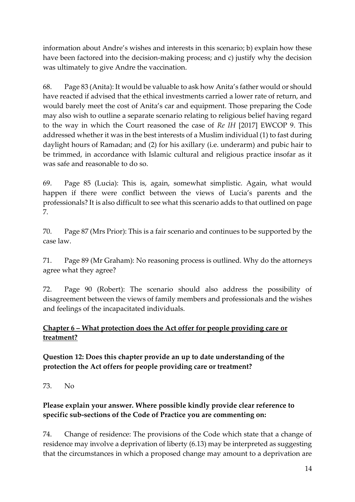information about Andre's wishes and interests in this scenario; b) explain how these have been factored into the decision-making process; and c) justify why the decision was ultimately to give Andre the vaccination.

68. Page 83 (Anita): It would be valuable to ask how Anita's father would or should have reacted if advised that the ethical investments carried a lower rate of return, and would barely meet the cost of Anita's car and equipment. Those preparing the Code may also wish to outline a separate scenario relating to religious belief having regard to the way in which the Court reasoned the case of *Re IH* [2017] EWCOP 9. This addressed whether it was in the best interests of a Muslim individual (1) to fast during daylight hours of Ramadan; and (2) for his axillary (i.e. underarm) and pubic hair to be trimmed, in accordance with Islamic cultural and religious practice insofar as it was safe and reasonable to do so.

69. Page 85 (Lucia): This is, again, somewhat simplistic. Again, what would happen if there were conflict between the views of Lucia's parents and the professionals? It is also difficult to see what this scenario adds to that outlined on page 7.

70. Page 87 (Mrs Prior): This is a fair scenario and continues to be supported by the case law.

71. Page 89 (Mr Graham): No reasoning process is outlined. Why do the attorneys agree what they agree?

72. Page 90 (Robert): The scenario should also address the possibility of disagreement between the views of family members and professionals and the wishes and feelings of the incapacitated individuals.

# **Chapter 6 – What protection does the Act offer for people providing care or treatment?**

## **Question 12: Does this chapter provide an up to date understanding of the protection the Act offers for people providing care or treatment?**

73. No

# **Please explain your answer. Where possible kindly provide clear reference to specific sub-sections of the Code of Practice you are commenting on:**

74. Change of residence: The provisions of the Code which state that a change of residence may involve a deprivation of liberty (6.13) may be interpreted as suggesting that the circumstances in which a proposed change may amount to a deprivation are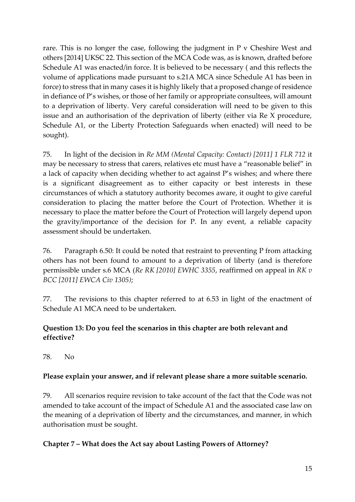rare. This is no longer the case, following the judgment in P v Cheshire West and others [2014] UKSC 22. This section of the MCA Code was, as is known, drafted before Schedule A1 was enacted/in force. It is believed to be necessary ( and this reflects the volume of applications made pursuant to s.21A MCA since Schedule A1 has been in force) to stress that in many cases it is highly likely that a proposed change of residence in defiance of P's wishes, or those of her family or appropriate consultees, will amount to a deprivation of liberty. Very careful consideration will need to be given to this issue and an authorisation of the deprivation of liberty (either via Re X procedure, Schedule A1, or the Liberty Protection Safeguards when enacted) will need to be sought).

75. In light of the decision in *Re MM (Mental Capacity: Contact) [2011] 1 FLR 712* it may be necessary to stress that carers, relatives etc must have a "reasonable belief" in a lack of capacity when deciding whether to act against P's wishes; and where there is a significant disagreement as to either capacity or best interests in these circumstances of which a statutory authority becomes aware, it ought to give careful consideration to placing the matter before the Court of Protection. Whether it is necessary to place the matter before the Court of Protection will largely depend upon the gravity/importance of the decision for P. In any event, a reliable capacity assessment should be undertaken.

76. Paragraph 6.50: It could be noted that restraint to preventing P from attacking others has not been found to amount to a deprivation of liberty (and is therefore permissible under s.6 MCA (*Re RK [2010] EWHC 3355*, reaffirmed on appeal in *RK v BCC [2011] EWCA Civ 1305)*;

77. The revisions to this chapter referred to at 6.53 in light of the enactment of Schedule A1 MCA need to be undertaken.

# **Question 13: Do you feel the scenarios in this chapter are both relevant and effective?**

78. No

## **Please explain your answer, and if relevant please share a more suitable scenario.**

79. All scenarios require revision to take account of the fact that the Code was not amended to take account of the impact of Schedule A1 and the associated case law on the meaning of a deprivation of liberty and the circumstances, and manner, in which authorisation must be sought.

#### **Chapter 7 – What does the Act say about Lasting Powers of Attorney?**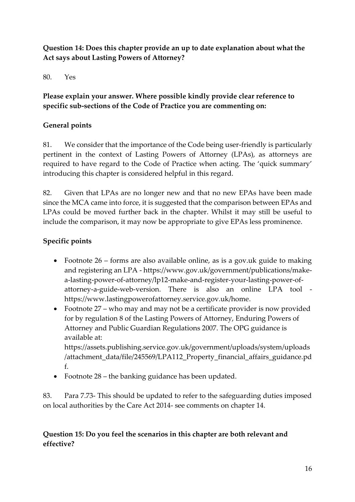## **Question 14: Does this chapter provide an up to date explanation about what the Act says about Lasting Powers of Attorney?**

80. Yes

**Please explain your answer. Where possible kindly provide clear reference to specific sub-sections of the Code of Practice you are commenting on:**

## **General points**

81. We consider that the importance of the Code being user-friendly is particularly pertinent in the context of Lasting Powers of Attorney (LPAs), as attorneys are required to have regard to the Code of Practice when acting. The 'quick summary' introducing this chapter is considered helpful in this regard.

82. Given that LPAs are no longer new and that no new EPAs have been made since the MCA came into force, it is suggested that the comparison between EPAs and LPAs could be moved further back in the chapter. Whilst it may still be useful to include the comparison, it may now be appropriate to give EPAs less prominence.

# **Specific points**

- Footnote 26 forms are also available online, as is a gov.uk guide to making and registering an LPA - [https://www.gov.uk/government/publications/make](https://www.gov.uk/government/publications/make-a-lasting-power-of-attorney/lp12-make-and-register-your-lasting-power-of-attorney-a-guide-web-version)[a-lasting-power-of-attorney/lp12-make-and-register-your-lasting-power-of](https://www.gov.uk/government/publications/make-a-lasting-power-of-attorney/lp12-make-and-register-your-lasting-power-of-attorney-a-guide-web-version)[attorney-a-guide-web-version.](https://www.gov.uk/government/publications/make-a-lasting-power-of-attorney/lp12-make-and-register-your-lasting-power-of-attorney-a-guide-web-version) There is also an online LPA tool [https://www.lastingpowerofattorney.service.gov.uk/home.](https://www.lastingpowerofattorney.service.gov.uk/home)
- Footnote 27 who may and may not be a certificate provider is now provided for by regulation 8 of the Lasting Powers of Attorney, Enduring Powers of Attorney and Public Guardian Regulations 2007. The OPG guidance is available at:

[https://assets.publishing.service.gov.uk/government/uploads/system/uploads](https://assets.publishing.service.gov.uk/government/uploads/system/uploads/attachment_data/file/245569/LPA112_Property_financial_affairs_guidance.pdf) [/attachment\\_data/file/245569/LPA112\\_Property\\_financial\\_affairs\\_guidance.pd](https://assets.publishing.service.gov.uk/government/uploads/system/uploads/attachment_data/file/245569/LPA112_Property_financial_affairs_guidance.pdf) [f.](https://assets.publishing.service.gov.uk/government/uploads/system/uploads/attachment_data/file/245569/LPA112_Property_financial_affairs_guidance.pdf)

• Footnote 28 – the banking guidance has been updated.

83. Para 7.73- This should be updated to refer to the safeguarding duties imposed on local authorities by the Care Act 2014- see comments on chapter 14.

# **Question 15: Do you feel the scenarios in this chapter are both relevant and effective?**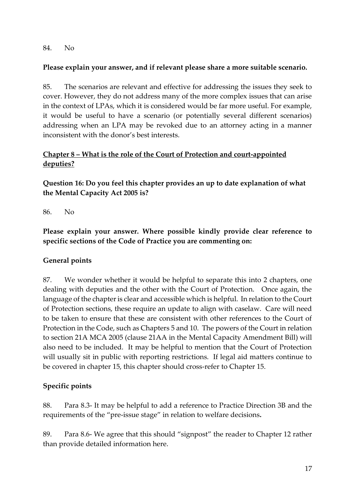#### 84. No

#### **Please explain your answer, and if relevant please share a more suitable scenario.**

85. The scenarios are relevant and effective for addressing the issues they seek to cover. However, they do not address many of the more complex issues that can arise in the context of LPAs, which it is considered would be far more useful. For example, it would be useful to have a scenario (or potentially several different scenarios) addressing when an LPA may be revoked due to an attorney acting in a manner inconsistent with the donor's best interests.

## **Chapter 8 – What is the role of the Court of Protection and court-appointed deputies?**

**Question 16: Do you feel this chapter provides an up to date explanation of what the Mental Capacity Act 2005 is?**

86. No

**Please explain your answer. Where possible kindly provide clear reference to specific sections of the Code of Practice you are commenting on:**

#### **General points**

87. We wonder whether it would be helpful to separate this into 2 chapters, one dealing with deputies and the other with the Court of Protection. Once again, the language of the chapter is clear and accessible which is helpful. In relation to the Court of Protection sections, these require an update to align with caselaw. Care will need to be taken to ensure that these are consistent with other references to the Court of Protection in the Code, such as Chapters 5 and 10. The powers of the Court in relation to section 21A MCA 2005 (clause 21AA in the Mental Capacity Amendment Bill) will also need to be included. It may be helpful to mention that the Court of Protection will usually sit in public with reporting restrictions. If legal aid matters continue to be covered in chapter 15, this chapter should cross-refer to Chapter 15.

## **Specific points**

88. Para 8.3- It may be helpful to add a reference to Practice Direction 3B and the requirements of the "pre-issue stage" in relation to welfare decisions**.**

89. Para 8.6- We agree that this should "signpost" the reader to Chapter 12 rather than provide detailed information here.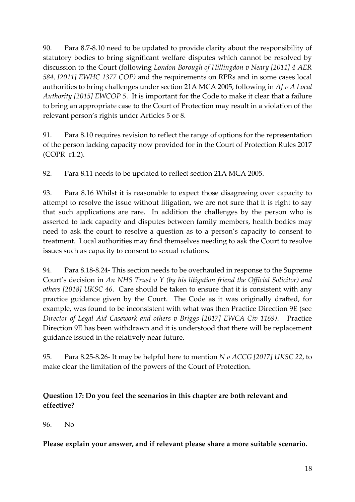90. Para 8.7-8.10 need to be updated to provide clarity about the responsibility of statutory bodies to bring significant welfare disputes which cannot be resolved by discussion to the Court (following *London Borough of Hillingdon v Neary [2011] 4 AER 584, [2011] EWHC 1377 COP)* and the requirements on RPRs and in some cases local authorities to bring challenges under section 21A MCA 2005, following in *AJ v A Local Authority [2015] EWCOP 5*. It is important for the Code to make it clear that a failure to bring an appropriate case to the Court of Protection may result in a violation of the relevant person's rights under Articles 5 or 8.

91. Para 8.10 requires revision to reflect the range of options for the representation of the person lacking capacity now provided for in the Court of Protection Rules 2017 (COPR r1.2).

92. Para 8.11 needs to be updated to reflect section 21A MCA 2005.

93. Para 8.16 Whilst it is reasonable to expect those disagreeing over capacity to attempt to resolve the issue without litigation, we are not sure that it is right to say that such applications are rare. In addition the challenges by the person who is asserted to lack capacity and disputes between family members, health bodies may need to ask the court to resolve a question as to a person's capacity to consent to treatment. Local authorities may find themselves needing to ask the Court to resolve issues such as capacity to consent to sexual relations.

94. Para 8.18-8.24- This section needs to be overhauled in response to the Supreme Court's decision in *An NHS Trust v Y (by his litigation friend the Official Solicitor) and others [2018] UKSC 46*. Care should be taken to ensure that it is consistent with any practice guidance given by the Court. The Code as it was originally drafted, for example, was found to be inconsistent with what was then Practice Direction 9E (see *Director of Legal Aid Casework and others v Briggs [2017] EWCA Civ 1169)*. Practice Direction 9E has been withdrawn and it is understood that there will be replacement guidance issued in the relatively near future.

95. Para 8.25-8.26- It may be helpful here to mention *N v ACCG [2017] UKSC 22*, to make clear the limitation of the powers of the Court of Protection.

# **Question 17: Do you feel the scenarios in this chapter are both relevant and effective?**

96. No

**Please explain your answer, and if relevant please share a more suitable scenario.**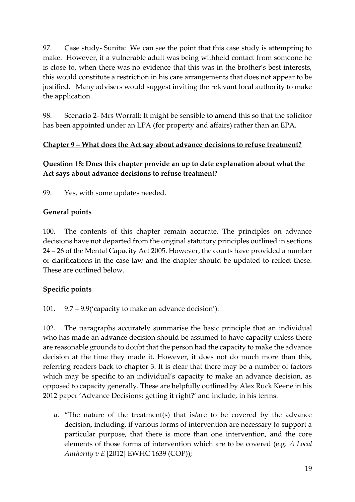97. Case study- Sunita: We can see the point that this case study is attempting to make. However, if a vulnerable adult was being withheld contact from someone he is close to, when there was no evidence that this was in the brother's best interests, this would constitute a restriction in his care arrangements that does not appear to be justified. Many advisers would suggest inviting the relevant local authority to make the application.

98. Scenario 2- Mrs Worrall: It might be sensible to amend this so that the solicitor has been appointed under an LPA (for property and affairs) rather than an EPA.

## **Chapter 9 – What does the Act say about advance decisions to refuse treatment?**

# **Question 18: Does this chapter provide an up to date explanation about what the Act says about advance decisions to refuse treatment?**

99. Yes, with some updates needed.

# **General points**

100. The contents of this chapter remain accurate. The principles on advance decisions have not departed from the original statutory principles outlined in sections 24 – 26 of the Mental Capacity Act 2005. However, the courts have provided a number of clarifications in the case law and the chapter should be updated to reflect these. These are outlined below.

# **Specific points**

101. 9.7 – 9.9('capacity to make an advance decision'):

102. The paragraphs accurately summarise the basic principle that an individual who has made an advance decision should be assumed to have capacity unless there are reasonable grounds to doubt that the person had the capacity to make the advance decision at the time they made it. However, it does not do much more than this, referring readers back to chapter 3. It is clear that there may be a number of factors which may be specific to an individual's capacity to make an advance decision, as opposed to capacity generally. These are helpfully outlined by Alex Ruck Keene in his 2012 paper 'Advance Decisions: getting it right?' and include, in his terms:

a. "The nature of the treatment(s) that is/are to be covered by the advance decision, including, if various forms of intervention are necessary to support a particular purpose, that there is more than one intervention, and the core elements of those forms of intervention which are to be covered (e.g. *A Local Authority v E* [2012] EWHC 1639 (COP));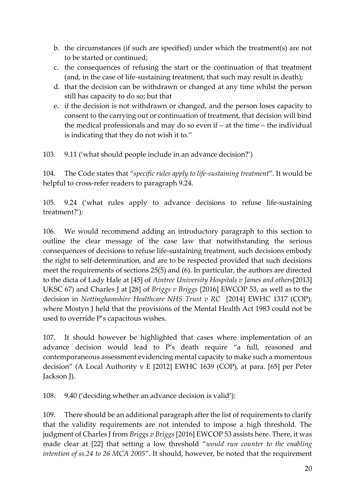- b. the circumstances (if such are specified) under which the treatment(s) are not to be started or continued;
- c. the consequences of refusing the start or the continuation of that treatment (and, in the case of life-sustaining treatment, that such may result in death);
- d. that the decision can be withdrawn or changed at any time whilst the person still has capacity to do so; but that
- e. if the decision is not withdrawn or changed, and the person loses capacity to consent to the carrying out or continuation of treatment, that decision will bind the medical professionals and may do so even if – at the time – the individual is indicating that they do not wish it to."

103. 9.11 ('what should people include in an advance decision?')

104. The Code states that "*specific rules apply to life-sustaining treatment*". It would be helpful to cross-refer readers to paragraph 9.24.

105. 9.24 ('what rules apply to advance decisions to refuse life-sustaining treatment?'):

106. We would recommend adding an introductory paragraph to this section to outline the clear message of the case law that notwithstanding the serious consequences of decisions to refuse life-sustaining treatment, such decisions embody the right to self-determination, and are to be respected provided that such decisions meet the requirements of sections 25(5) and (6). In particular, the authors are directed to the dicta of Lady Hale at [45] of *Aintree University Hospitals v James and others*[2013] UKSC 67) and Charles J at [28] of *Briggs v Briggs* [\[2016\] EWCOP 53,](http://www.bailii.org/ew/cases/EWCOP/2016/53.html) as well as to the decision in *Nottinghamshire Healthcare NHS Trust v RC* [2014] EWHC 1317 (COP), where Mostyn J held that the provisions of the Mental Health Act 1983 could not be used to override P's capacitous wishes.

107. It should however be highlighted that cases where implementation of an advance decision would lead to P's death require "a full, reasoned and contemporaneous assessment evidencing mental capacity to make such a momentous decision" (A Local Authority v E [2012] EWHC 1639 (COP), at para. [65] per Peter Jackson J).

108. 9.40 ('deciding whether an advance decision is valid'):

109. There should be an additional paragraph after the list of requirements to clarify that the validity requirements are not intended to impose a high threshold. The judgment of Charles J from *Briggs v Briggs* [\[2016\] EWCOP 53](http://www.bailii.org/ew/cases/EWCOP/2016/53.html) assists here. There, it was made clear at [22] that setting a low threshold "*would run counter to the enabling intention of ss.24 to 26 MCA 2005*". It should, however, be noted that the requirement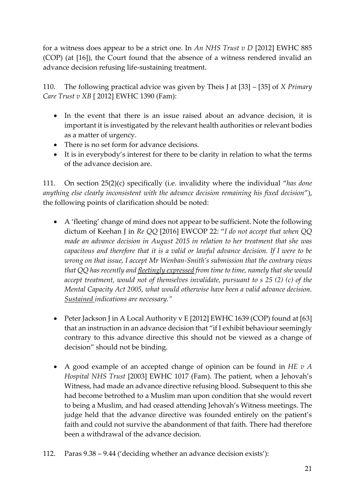for a witness does appear to be a strict one. In *An NHS Trust v D* [2012] EWHC 885 (COP) (at [16]), the Court found that the absence of a witness rendered invalid an advance decision refusing life-sustaining treatment.

110. The following practical advice was given by Theis J at [33] – [35] of *X Primary Care Trust v XB* [ 2012] EWHC 1390 (Fam):

- In the event that there is an issue raised about an advance decision, it is important it is investigated by the relevant health authorities or relevant bodies as a matter of urgency.
- There is no set form for advance decisions.
- It is in everybody's interest for there to be clarity in relation to what the terms of the advance decision are.

111. On section 25(2)(c) specifically (i.e. invalidity where the individual "*has done anything else clearly inconsistent with the advance decision remaining his fixed decision*"), the following points of clarification should be noted:

- A 'fleeting' change of mind does not appear to be sufficient. Note the following dictum of Keehan J in *Re QQ* [\[2016\] EWCOP 22](http://www.bailii.org/ew/cases/EWCOP/2016/22.html): "*I do not accept that when QQ made an advance decision in August 2015 in relation to her treatment that she was capacitous and therefore that it is a valid or lawful advance decision. If I were to be wrong on that issue, I accept Mr Wenban-Smith's submission that the contrary views that QQ has recently and fleetingly expressed from time to time, namely that she would accept treatment, would not of themselves invalidate, pursuant to s 25 (2) (c) of the Mental Capacity Act 2005, what would otherwise have been a valid advance decision. Sustained indications are necessary."*
- Peter Jackson J in A Local Authority v E [2012] EWHC 1639 (COP) found at [63] that an instruction in an advance decision that "if I exhibit behaviour seemingly contrary to this advance directive this should not be viewed as a change of decision" should not be binding.
- A good example of an accepted change of opinion can be found in *HE v A Hospital NHS Trust* [2003] EWHC 1017 (Fam). The patient, when a Jehovah's Witness, had made an advance directive refusing blood. Subsequent to this she had become betrothed to a Muslim man upon condition that she would revert to being a Muslim, and had ceased attending Jehovah's Witness meetings. The judge held that the advance directive was founded entirely on the patient's faith and could not survive the abandonment of that faith. There had therefore been a withdrawal of the advance decision.
- 112. Paras 9.38 9.44 ('deciding whether an advance decision exists'):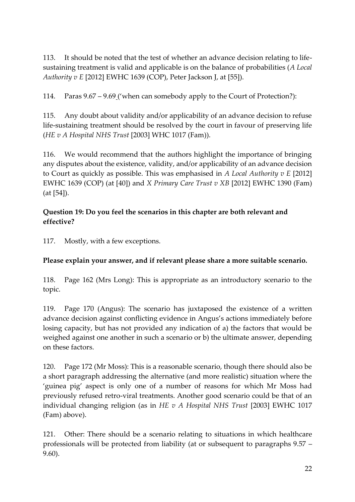113. It should be noted that the test of whether an advance decision relating to lifesustaining treatment is valid and applicable is on the balance of probabilities (*A Local Authority v E* [2012] EWHC 1639 (COP), Peter Jackson J, at [55]).

114. Paras 9.67 – 9.69 ('when can somebody apply to the Court of Protection?):

115. Any doubt about validity and/or applicability of an advance decision to refuse life-sustaining treatment should be resolved by the court in favour of preserving life (*HE v A Hospital NHS Trust* [2003] WHC 1017 (Fam)).

116. We would recommend that the authors highlight the importance of bringing any disputes about the existence, validity, and/or applicability of an advance decision to Court as quickly as possible. This was emphasised in *A Local Authority v E* [2012] EWHC 1639 (COP) (at [40]) and *X Primary Care Trust v XB* [2012] EWHC 1390 (Fam) (at [54]).

# **Question 19: Do you feel the scenarios in this chapter are both relevant and effective?**

117. Mostly, with a few exceptions.

# **Please explain your answer, and if relevant please share a more suitable scenario.**

118. Page 162 (Mrs Long): This is appropriate as an introductory scenario to the topic.

119. Page 170 (Angus): The scenario has juxtaposed the existence of a written advance decision against conflicting evidence in Angus's actions immediately before losing capacity, but has not provided any indication of a) the factors that would be weighed against one another in such a scenario or b) the ultimate answer, depending on these factors.

120. Page 172 (Mr Moss): This is a reasonable scenario, though there should also be a short paragraph addressing the alternative (and more realistic) situation where the 'guinea pig' aspect is only one of a number of reasons for which Mr Moss had previously refused retro-viral treatments. Another good scenario could be that of an individual changing religion (as in *HE v A Hospital NHS Trust* [2003] EWHC 1017 (Fam) above).

121. Other: There should be a scenario relating to situations in which healthcare professionals will be protected from liability (at or subsequent to paragraphs 9.57 – 9.60).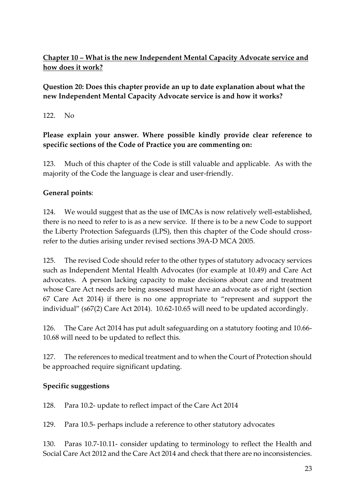# **Chapter 10 – What is the new Independent Mental Capacity Advocate service and how does it work?**

# **Question 20: Does this chapter provide an up to date explanation about what the new Independent Mental Capacity Advocate service is and how it works?**

# 122. No

# **Please explain your answer. Where possible kindly provide clear reference to specific sections of the Code of Practice you are commenting on:**

123. Much of this chapter of the Code is still valuable and applicable. As with the majority of the Code the language is clear and user-friendly.

# **General points**:

124. We would suggest that as the use of IMCAs is now relatively well-established, there is no need to refer to is as a new service. If there is to be a new Code to support the Liberty Protection Safeguards (LPS), then this chapter of the Code should crossrefer to the duties arising under revised sections 39A-D MCA 2005.

125. The revised Code should refer to the other types of statutory advocacy services such as Independent Mental Health Advocates (for example at 10.49) and Care Act advocates. A person lacking capacity to make decisions about care and treatment whose Care Act needs are being assessed must have an advocate as of right (section 67 Care Act 2014) if there is no one appropriate to "represent and support the individual" (s67(2) Care Act 2014). 10.62-10.65 will need to be updated accordingly.

126. The Care Act 2014 has put adult safeguarding on a statutory footing and 10.66- 10.68 will need to be updated to reflect this.

127. The references to medical treatment and to when the Court of Protection should be approached require significant updating.

## **Specific suggestions**

128. Para 10.2- update to reflect impact of the Care Act 2014

129. Para 10.5- perhaps include a reference to other statutory advocates

130. Paras 10.7-10.11- consider updating to terminology to reflect the Health and Social Care Act 2012 and the Care Act 2014 and check that there are no inconsistencies.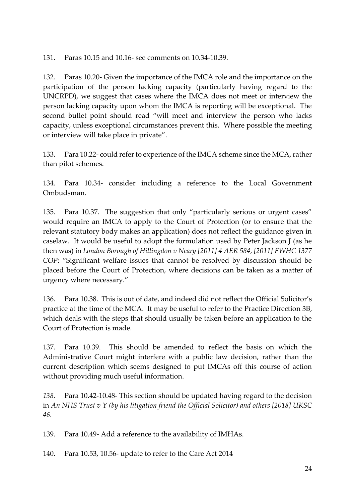131. Paras 10.15 and 10.16- see comments on 10.34-10.39.

132. Paras 10.20- Given the importance of the IMCA role and the importance on the participation of the person lacking capacity (particularly having regard to the UNCRPD), we suggest that cases where the IMCA does not meet or interview the person lacking capacity upon whom the IMCA is reporting will be exceptional. The second bullet point should read "will meet and interview the person who lacks capacity, unless exceptional circumstances prevent this. Where possible the meeting or interview will take place in private".

133. Para 10.22- could refer to experience of the IMCA scheme since the MCA, rather than pilot schemes.

134. Para 10.34- consider including a reference to the Local Government Ombudsman.

135. Para 10.37. The suggestion that only "particularly serious or urgent cases" would require an IMCA to apply to the Court of Protection (or to ensure that the relevant statutory body makes an application) does not reflect the guidance given in caselaw. It would be useful to adopt the formulation used by Peter Jackson J (as he then was) in *London Borough of Hillingdon v Neary [2011] 4 AER 584, [2011] EWHC 1377 COP*: "Significant welfare issues that cannot be resolved by discussion should be placed before the Court of Protection, where decisions can be taken as a matter of urgency where necessary."

136. Para 10.38. This is out of date, and indeed did not reflect the Official Solicitor's practice at the time of the MCA. It may be useful to refer to the Practice Direction 3B, which deals with the steps that should usually be taken before an application to the Court of Protection is made.

137. Para 10.39. This should be amended to reflect the basis on which the Administrative Court might interfere with a public law decision, rather than the current description which seems designed to put IMCAs off this course of action without providing much useful information.

*138.* Para 10.42-10.48- This section should be updated having regard to the decision in *An NHS Trust v Y (by his litigation friend the Official Solicitor) and others [2018] UKSC 46.*

139. Para 10.49- Add a reference to the availability of IMHAs.

140. Para 10.53, 10.56- update to refer to the Care Act 2014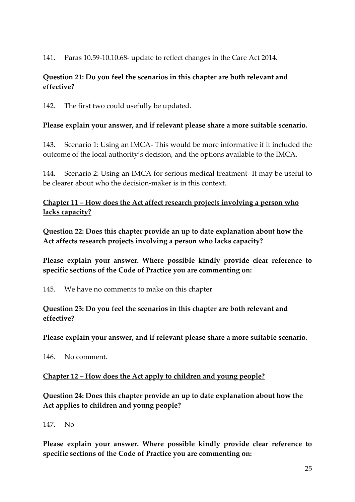141. Paras 10.59-10.10.68- update to reflect changes in the Care Act 2014.

#### **Question 21: Do you feel the scenarios in this chapter are both relevant and effective?**

142. The first two could usefully be updated.

#### **Please explain your answer, and if relevant please share a more suitable scenario.**

143. Scenario 1: Using an IMCA- This would be more informative if it included the outcome of the local authority's decision, and the options available to the IMCA.

144. Scenario 2: Using an IMCA for serious medical treatment- It may be useful to be clearer about who the decision-maker is in this context.

**Chapter 11 – How does the Act affect research projects involving a person who lacks capacity?**

**Question 22: Does this chapter provide an up to date explanation about how the Act affects research projects involving a person who lacks capacity?**

**Please explain your answer. Where possible kindly provide clear reference to specific sections of the Code of Practice you are commenting on:**

145. We have no comments to make on this chapter

#### **Question 23: Do you feel the scenarios in this chapter are both relevant and effective?**

**Please explain your answer, and if relevant please share a more suitable scenario.**

146. No comment.

**Chapter 12 – How does the Act apply to children and young people?**

**Question 24: Does this chapter provide an up to date explanation about how the Act applies to children and young people?**

147. No

**Please explain your answer. Where possible kindly provide clear reference to specific sections of the Code of Practice you are commenting on:**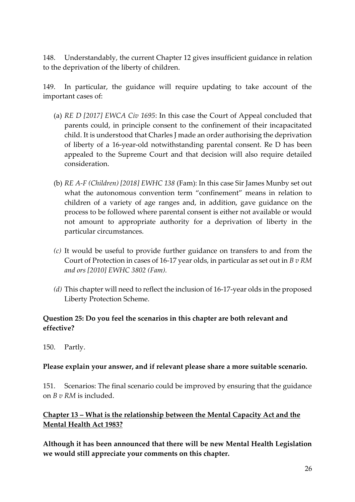148. Understandably, the current Chapter 12 gives insufficient guidance in relation to the deprivation of the liberty of children.

149. In particular, the guidance will require updating to take account of the important cases of:

- (a) *RE D [2017] EWCA Civ 1695*: In this case the Court of Appeal concluded that parents could, in principle consent to the confinement of their incapacitated child. It is understood that Charles J made an order authorising the deprivation of liberty of a 16-year-old notwithstanding parental consent. Re D has been appealed to the Supreme Court and that decision will also require detailed consideration.
- (b) *RE A-F (Children) [2018] EWHC 138* (Fam): In this case Sir James Munby set out what the autonomous convention term "confinement" means in relation to children of a variety of age ranges and, in addition, gave guidance on the process to be followed where parental consent is either not available or would not amount to appropriate authority for a deprivation of liberty in the particular circumstances.
- *(c)* It would be useful to provide further guidance on transfers to and from the Court of Protection in cases of 16-17 year olds, in particular as set out in *B v RM and ors [2010] EWHC 3802 (Fam).*
- *(d)* This chapter will need to reflect the inclusion of 16-17-year olds in the proposed Liberty Protection Scheme.

## **Question 25: Do you feel the scenarios in this chapter are both relevant and effective?**

150. Partly.

#### **Please explain your answer, and if relevant please share a more suitable scenario.**

151. Scenarios: The final scenario could be improved by ensuring that the guidance on *B v RM* is included.

## **Chapter 13 – What is the relationship between the Mental Capacity Act and the Mental Health Act 1983?**

**Although it has been announced that there will be new Mental Health Legislation we would still appreciate your comments on this chapter.**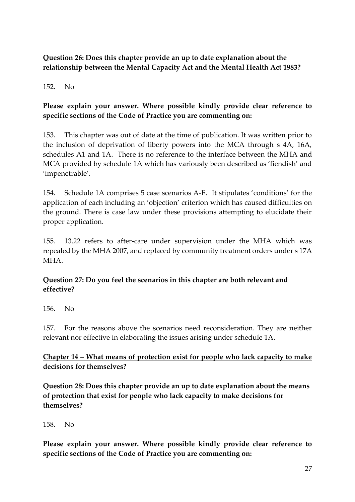# **Question 26: Does this chapter provide an up to date explanation about the relationship between the Mental Capacity Act and the Mental Health Act 1983?**

#### 152. No

# **Please explain your answer. Where possible kindly provide clear reference to specific sections of the Code of Practice you are commenting on:**

153. This chapter was out of date at the time of publication. It was written prior to the inclusion of deprivation of liberty powers into the MCA through s 4A, 16A, schedules A1 and 1A. There is no reference to the interface between the MHA and MCA provided by schedule 1A which has variously been described as 'fiendish' and 'impenetrable'.

154. Schedule 1A comprises 5 case scenarios A-E. It stipulates 'conditions' for the application of each including an 'objection' criterion which has caused difficulties on the ground. There is case law under these provisions attempting to elucidate their proper application.

155. 13.22 refers to after-care under supervision under the MHA which was repealed by the MHA 2007, and replaced by community treatment orders under s 17A MHA.

## **Question 27: Do you feel the scenarios in this chapter are both relevant and effective?**

156. No

157. For the reasons above the scenarios need reconsideration. They are neither relevant nor effective in elaborating the issues arising under schedule 1A.

#### **Chapter 14 – What means of protection exist for people who lack capacity to make decisions for themselves?**

**Question 28: Does this chapter provide an up to date explanation about the means of protection that exist for people who lack capacity to make decisions for themselves?**

158. No

**Please explain your answer. Where possible kindly provide clear reference to specific sections of the Code of Practice you are commenting on:**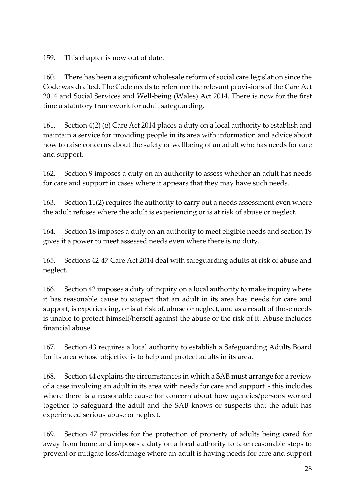159. This chapter is now out of date.

160. There has been a significant wholesale reform of social care legislation since the Code was drafted. The Code needs to reference the relevant provisions of the Care Act 2014 and Social Services and Well-being (Wales) Act 2014. There is now for the first time a statutory framework for adult safeguarding.

161. Section 4(2) (e) Care Act 2014 places a duty on a local authority to establish and maintain a service for providing people in its area with information and advice about how to raise concerns about the safety or wellbeing of an adult who has needs for care and support.

162. Section 9 imposes a duty on an authority to assess whether an adult has needs for care and support in cases where it appears that they may have such needs.

163. Section 11(2) requires the authority to carry out a needs assessment even where the adult refuses where the adult is experiencing or is at risk of abuse or neglect.

164. Section 18 imposes a duty on an authority to meet eligible needs and section 19 gives it a power to meet assessed needs even where there is no duty.

165. Sections 42-47 Care Act 2014 deal with safeguarding adults at risk of abuse and neglect.

166. Section 42 imposes a duty of inquiry on a local authority to make inquiry where it has reasonable cause to suspect that an adult in its area has needs for care and support, is experiencing, or is at risk of, abuse or neglect, and as a result of those needs is unable to protect himself/herself against the abuse or the risk of it. Abuse includes financial abuse.

167. Section 43 requires a local authority to establish a Safeguarding Adults Board for its area whose objective is to help and protect adults in its area.

168. Section 44 explains the circumstances in which a SAB must arrange for a review of a case involving an adult in its area with needs for care and support - this includes where there is a reasonable cause for concern about how agencies/persons worked together to safeguard the adult and the SAB knows or suspects that the adult has experienced serious abuse or neglect.

169. Section 47 provides for the protection of property of adults being cared for away from home and imposes a duty on a local authority to take reasonable steps to prevent or mitigate loss/damage where an adult is having needs for care and support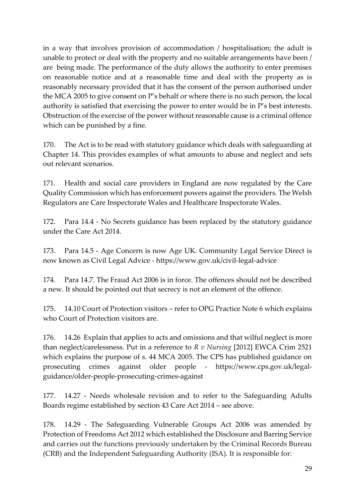in a way that involves provision of accommodation / hospitalisation; the adult is unable to protect or deal with the property and no suitable arrangements have been / are being made. The performance of the duty allows the authority to enter premises on reasonable notice and at a reasonable time and deal with the property as is reasonably necessary provided that it has the consent of the person authorised under the MCA 2005 to give consent on P's behalf or where there is no such person, the local authority is satisfied that exercising the power to enter would be in P's best interests. Obstruction of the exercise of the power without reasonable cause is a criminal offence which can be punished by a fine.

170. The Act is to be read with statutory guidance which deals with safeguarding at Chapter 14. This provides examples of what amounts to abuse and neglect and sets out relevant scenarios.

171. Health and social care providers in England are now regulated by the Care Quality Commission which has enforcement powers against the providers. The Welsh Regulators are Care Inspectorate Wales and Healthcare Inspectorate Wales.

172. Para 14.4 - No Secrets guidance has been replaced by the statutory guidance under the Care Act 2014.

173. Para 14.5 - Age Concern is now Age UK. Community Legal Service Direct is now known as Civil Legal Advice - <https://www.gov.uk/civil-legal-advice>

174. Para 14.7. The Fraud Act 2006 is in force. The offences should not be described a new. It should be pointed out that secrecy is not an element of the offence.

175. 14.10 Court of Protection visitors – refer to OPG Practice Note 6 which explains who Court of Protection visitors are.

176. 14.26 Explain that applies to acts and omissions and that wilful neglect is more than neglect/carelessness. Put in a reference to *R v Nursing* [2012] EWCA Crim 2521 which explains the purpose of s. 44 MCA 2005. The CPS has published guidance on prosecuting crimes against older people - [https://www.cps.gov.uk/legal](https://www.cps.gov.uk/legal-guidance/older-people-prosecuting-crimes-against)[guidance/older-people-prosecuting-crimes-against](https://www.cps.gov.uk/legal-guidance/older-people-prosecuting-crimes-against)

177. 14.27 - Needs wholesale revision and to refer to the Safeguarding Adults Boards regime established by section 43 Care Act 2014 – see above.

178. 14.29 - The Safeguarding Vulnerable Groups Act 2006 was amended by Protection of Freedoms Act 2012 which established the Disclosure and Barring Service and carries out the functions previously undertaken by the Criminal Records Bureau (CRB) and the Independent Safeguarding Authority (ISA). It is responsible for: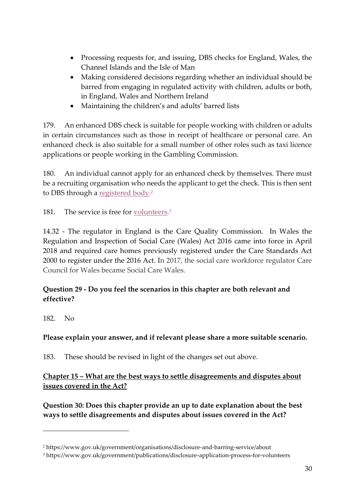- Processing requests for, and issuing, DBS checks for England, Wales, the Channel Islands and the Isle of Man
- Making considered decisions regarding whether an individual should be barred from engaging in regulated activity with children, adults or both, in England, Wales and Northern Ireland
- Maintaining the children's and adults' barred lists

179. An enhanced DBS check is suitable for people working with children or adults in certain circumstances such as those in receipt of healthcare or personal care. An enhanced check is also suitable for a small number of other roles such as taxi licence applications or people working in the Gambling Commission.

180. An individual cannot apply for an enhanced check by themselves. There must be a recruiting organisation who needs the applicant to get the check. This is then sent to DBS through a <u>registered body</u>.<sup>2</sup>

181. The service is free for <u>volunteers</u>.<sup>3</sup>

14.32 - The regulator in England is the Care Quality Commission. In Wales the [Regulation and Inspection of Social Care \(Wales\) Act 2016](http://senedd.assembly.wales/mgIssueHistoryHome.aspx?IId=12110) came into force in April 2018 and required care homes previously registered under the Care Standards Act 2000 to register under the 2016 Act. In 2017, the social care workforce regulator Care Council for Wales became Social Care Wales.

#### **Question 29 - Do you feel the scenarios in this chapter are both relevant and effective?**

182. No

 $\overline{a}$ 

**Please explain your answer, and if relevant please share a more suitable scenario.**

183. These should be revised in light of the changes set out above.

**Chapter 15 – What are the best ways to settle disagreements and disputes about issues covered in the Act?**

**Question 30: Does this chapter provide an up to date explanation about the best ways to settle disagreements and disputes about issues covered in the Act?**

<sup>2</sup> <https://www.gov.uk/government/organisations/disclosure-and-barring-service/about>

<sup>3</sup> https://www.gov.uk/government/publications/disclosure-application-process-for-volunteers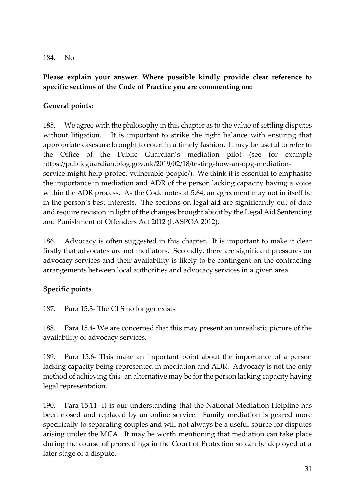#### 184. No

## **Please explain your answer. Where possible kindly provide clear reference to specific sections of the Code of Practice you are commenting on:**

#### **General points:**

185. We agree with the philosophy in this chapter as to the value of settling disputes without litigation. It is important to strike the right balance with ensuring that appropriate cases are brought to court in a timely fashion. It may be useful to refer to the Office of the Public Guardian's mediation pilot (see for example [https://publicguardian.blog.gov.uk/2019/02/18/testing-how-an-opg-mediation](https://publicguardian.blog.gov.uk/2019/02/18/testing-how-an-opg-mediation-service-might-help-protect-vulnerable-people/)[service-might-help-protect-vulnerable-people/\)](https://publicguardian.blog.gov.uk/2019/02/18/testing-how-an-opg-mediation-service-might-help-protect-vulnerable-people/). We think it is essential to emphasise the importance in mediation and ADR of the person lacking capacity having a voice within the ADR process. As the Code notes at 5.64, an agreement may not in itself be in the person's best interests. The sections on legal aid are significantly out of date and require revision in light of the changes brought about by the Legal Aid Sentencing and Punishment of Offenders Act 2012 (LASPOA 2012).

186. Advocacy is often suggested in this chapter. It is important to make it clear firstly that advocates are not mediators. Secondly, there are significant pressures on advocacy services and their availability is likely to be contingent on the contracting arrangements between local authorities and advocacy services in a given area.

#### **Specific points**

187. Para 15.3- The CLS no longer exists

188. Para 15.4- We are concerned that this may present an unrealistic picture of the availability of advocacy services.

189. Para 15.6- This make an important point about the importance of a person lacking capacity being represented in mediation and ADR. Advocacy is not the only method of achieving this- an alternative may be for the person lacking capacity having legal representation.

190. Para 15.11- It is our understanding that the National Mediation Helpline has been closed and replaced by an online service. Family mediation is geared more specifically to separating couples and will not always be a useful source for disputes arising under the MCA. It may be worth mentioning that mediation can take place during the course of proceedings in the Court of Protection so can be deployed at a later stage of a dispute.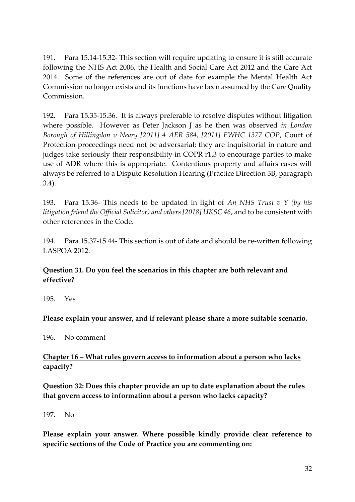191. Para 15.14-15.32- This section will require updating to ensure it is still accurate following the NHS Act 2006, the Health and Social Care Act 2012 and the Care Act 2014. Some of the references are out of date for example the Mental Health Act Commission no longer exists and its functions have been assumed by the Care Quality Commission.

192. Para 15.35-15.36. It is always preferable to resolve disputes without litigation where possible. However as Peter Jackson J as he then was observed *in London Borough of Hillingdon v Neary [2011] 4 AER 584, [2011] EWHC 1377 COP*, Court of Protection proceedings need not be adversarial; they are inquisitorial in nature and judges take seriously their responsibility in COPR r1.3 to encourage parties to make use of ADR where this is appropriate. Contentious property and affairs cases will always be referred to a Dispute Resolution Hearing (Practice Direction 3B, paragraph 3.4).

193. Para 15.36- This needs to be updated in light of *An NHS Trust v Y (by his litigation friend the Official Solicitor) and others [2018] UKSC 46*, and to be consistent with other references in the Code.

194. Para 15.37-15.44- This section is out of date and should be re-written following LASPOA 2012.

#### **Question 31. Do you feel the scenarios in this chapter are both relevant and effective?**

195. Yes

#### **Please explain your answer, and if relevant please share a more suitable scenario.**

196. No comment

#### **Chapter 16 – What rules govern access to information about a person who lacks capacity?**

**Question 32: Does this chapter provide an up to date explanation about the rules that govern access to information about a person who lacks capacity?**

197. No

**Please explain your answer. Where possible kindly provide clear reference to specific sections of the Code of Practice you are commenting on:**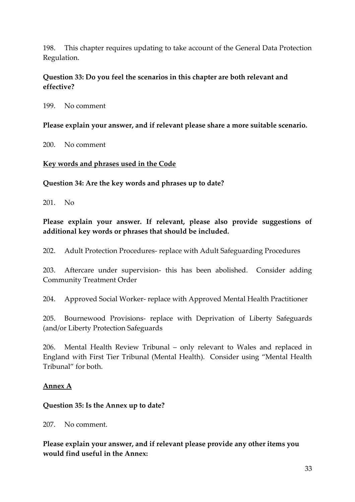198. This chapter requires updating to take account of the General Data Protection Regulation.

#### **Question 33: Do you feel the scenarios in this chapter are both relevant and effective?**

199. No comment

**Please explain your answer, and if relevant please share a more suitable scenario.**

200. No comment

#### **Key words and phrases used in the Code**

**Question 34: Are the key words and phrases up to date?**

201. No

#### **Please explain your answer. If relevant, please also provide suggestions of additional key words or phrases that should be included.**

202. Adult Protection Procedures- replace with Adult Safeguarding Procedures

203. Aftercare under supervision- this has been abolished. Consider adding Community Treatment Order

204. Approved Social Worker- replace with Approved Mental Health Practitioner

205. Bournewood Provisions- replace with Deprivation of Liberty Safeguards (and/or Liberty Protection Safeguards

206. Mental Health Review Tribunal – only relevant to Wales and replaced in England with First Tier Tribunal (Mental Health). Consider using "Mental Health Tribunal" for both.

#### **Annex A**

#### **Question 35: Is the Annex up to date?**

207. No comment.

**Please explain your answer, and if relevant please provide any other items you would find useful in the Annex:**